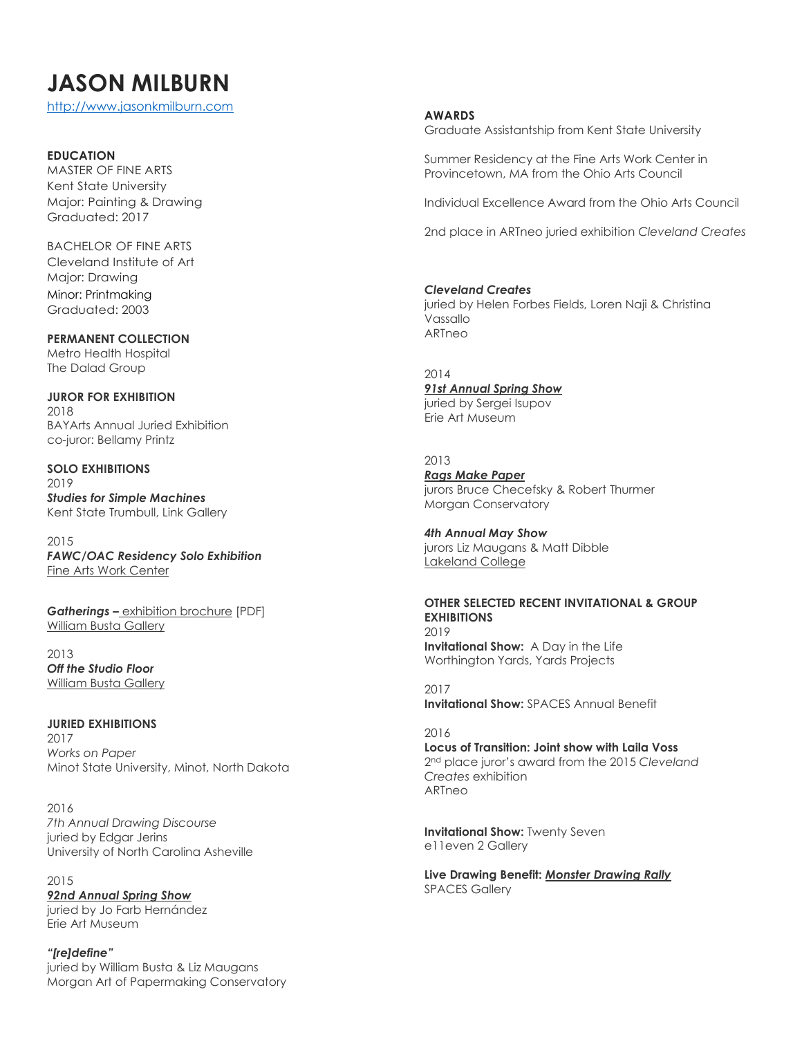# **JASON MILBURN**

[http://www.jasonkmilburn.com](http://www.jasonkmilburn.com/)

### **EDUCATION**

MASTER OF FINE ARTS Kent State University Major: Painting & Drawing Graduated: 2017

BACHELOR OF FINE ARTS Cleveland Institute of Art Major: Drawing Minor: Printmaking Graduated: 2003

**PERMANENT COLLECTION** Metro Health Hospital The Dalad Group

**JUROR FOR EXHIBITION** 2018 BAYArts Annual Juried Exhibition co-juror: Bellamy Printz

**SOLO EXHIBITIONS** 2019 *Studies for Simple Machines* Kent State Trumbull, Link Gallery

2015 *FAWC/OAC Residency Solo Exhibition* Fine Arts Work [Center](http://web.fawc.org/)

*Gatherings –* [exhibition](http://williambustagallery.com/assets/15_wbg_milburn_broch_final.pdf) brochure [PDF] William Busta [Gallery](http://www.williambustagallery.com/)

2013 *Off the Studio Floor* William Busta [Gallery](http://www.williambustagallery.com/)

**JURIED EXHIBITIONS** 2017 *Works on Paper* Minot State University, Minot, North Dakota

2016 *7th Annual Drawing Discourse* juried by Edgar Jerins University of North Carolina Asheville

2015 *92nd [Annual](http://erieartmuseum.org/exhibits/exhibits2014/SpringShow2014/SpringShow2014.html) Spring Show* juried by Jo Farb Hernández Erie Art Museum

*"[re]define"* juried by William Busta & Liz Maugans Morgan Art of Papermaking Conservatory

#### **AWARDS**

Graduate Assistantship from Kent State University

Summer Residency at the Fine Arts Work Center in Provincetown, MA from the Ohio Arts Council

Individual Excellence Award from the Ohio Arts Council

2nd place in ARTneo juried exhibition *Cleveland Creates*

### *Cleveland Creates*

juried by Helen Forbes Fields, Loren Naji & Christina Vassallo ARTneo

## 2014

*91st [Annual](http://erieartmuseum.org/exhibits/exhibits2014/SpringShow2014/SpringShow2014.html) Spring Show* juried by Sergei Isupov Erie Art Museum

2013

*Rags Make [Paper](http://morganconservatory.org/event/opening-reception-rags-make-paper/)* jurors Bruce Checefsky & Robert Thurmer Morgan Conservatory

*4th Annual May Show* jurors Liz Maugans & Matt Dibble [Lakeland](http://www.lakelandcc.edu/gallery) College

**OTHER SELECTED RECENT INVITATIONAL & GROUP EXHIBITIONS** 2019 **Invitational Show:** A Day in the Life Worthington Yards, Yards Projects

2017 **Invitational Show:** SPACES Annual Benefit

2016 **Locus of Transition: Joint show with Laila Voss** 2 nd place juror's award from the 2015 *Cleveland Creates* exhibition ARTneo

**Invitational Show:** Twenty Seven e11even 2 Gallery

**Live Drawing Benefit:** *Monster [Drawing](http://www.spacesgallery.org/events/monster-drawing-rally-2016-04-16-2016) Rally* SPACES Gallery